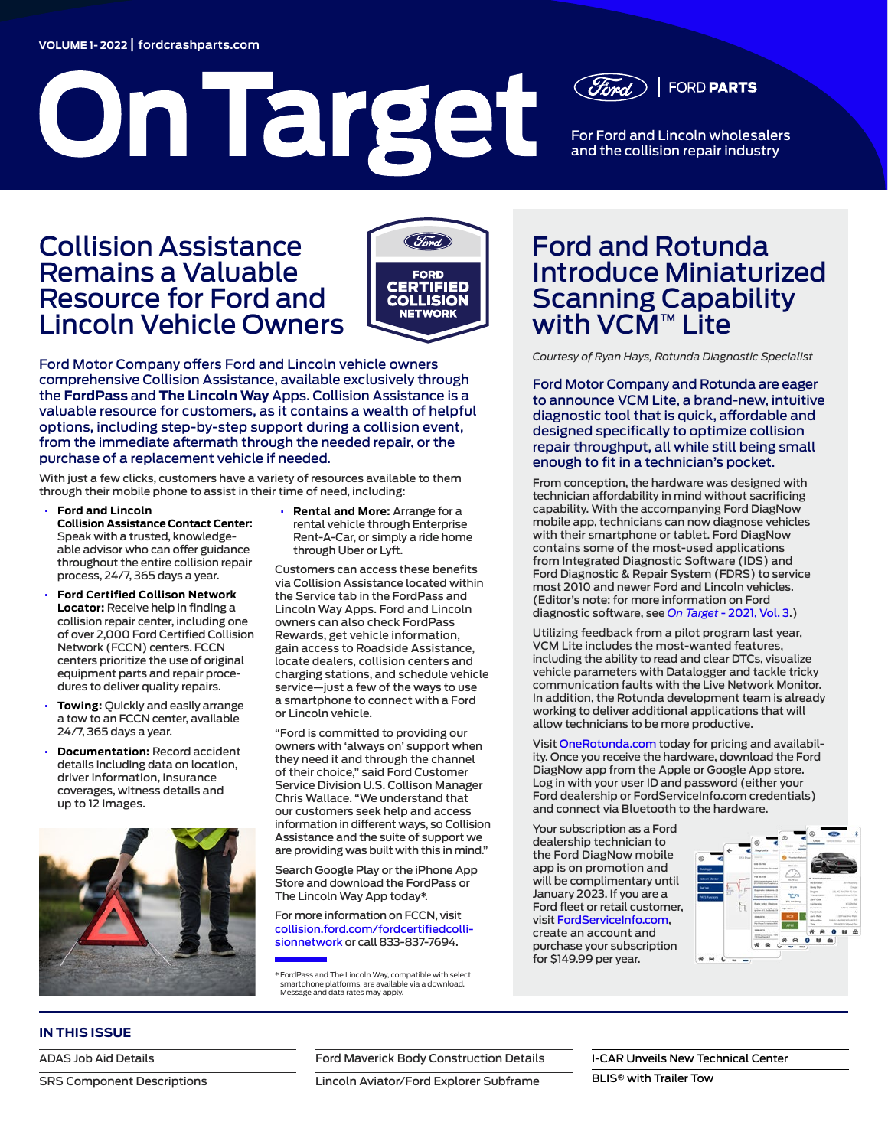#### **VOLUME 1- 2022** | **[fordcrashparts.com](https://fordcrashparts.com/)**

# On Target



For Ford and Lincoln wholesalers and the collision repair industry

**FORD PARTS** 

# Collision Assistance Remains a Valuable Resource for Ford and Lincoln Vehicle Owners



Ford Motor Company offers Ford and Lincoln vehicle owners comprehensive Collision Assistance, available exclusively through the **FordPass** and **The Lincoln Way** Apps. Collision Assistance is a valuable resource for customers, as it contains a wealth of helpful options, including step-by-step support during a collision event, from the immediate aftermath through the needed repair, or the purchase of a replacement vehicle if needed.

With just a few clicks, customers have a variety of resources available to them through their mobile phone to assist in their time of need, including:

- **Ford and Lincoln Collision Assistance Contact Center:** Speak with a trusted, knowledgeable advisor who can offer guidance throughout the entire collision repair process, 24/7, 365 days a year.
- **Ford Certified Collison Network Locator:** Receive help in finding a collision repair center, including one of over 2,000 Ford Certified Collision Network (FCCN) centers. FCCN centers prioritize the use of original equipment parts and repair procedures to deliver quality repairs.
- **Towing:** Quickly and easily arrange a tow to an FCCN center, available 24/7, 365 days a year.
- **Documentation:** Record accident details including data on location, driver information, insurance coverages, witness details and up to 12 images.



• **Rental and More:** Arrange for a rental vehicle through Enterprise Rent-A-Car, or simply a ride home through Uber or Lyft.

Customers can access these benefits via Collision Assistance located within the Service tab in the FordPass and Lincoln Way Apps. Ford and Lincoln owners can also check FordPass Rewards, get vehicle information, gain access to Roadside Assistance, locate dealers, collision centers and charging stations, and schedule vehicle service—just a few of the ways to use a smartphone to connect with a Ford or Lincoln vehicle.

"Ford is committed to providing our owners with 'always on' support when they need it and through the channel of their choice," said Ford Customer Service Division U.S. Collison Manager Chris Wallace. "We understand that our customers seek help and access information in different ways, so Collision Assistance and the suite of support we are providing was built with this in mind."

Search Google Play or the iPhone App Store and download the FordPass or The Lincoln Way App today\*.

For more information on FCCN, visit [collision.ford.com/fordcertifiedcolli](https://collision.ford.com/fordcertifiedcollisionnetwork)[sionnetwork](https://collision.ford.com/fordcertifiedcollisionnetwork) or call 833-837-7694.

\*FordPass and The Lincoln Way, compatible with select smartphone platforms, are available via a download. Message and data rates may apply.

# Ford and Rotunda Introduce Miniaturized Scanning Capability with VCM™ Lite

*Courtesy of Ryan Hays, Rotunda Diagnostic Specialist*

Ford Motor Company and Rotunda are eager to announce VCM Lite, a brand-new, intuitive diagnostic tool that is quick, affordable and designed specifically to optimize collision repair throughput, all while still being small enough to fit in a technician's pocket.

From conception, the hardware was designed with technician affordability in mind without sacrificing capability. With the accompanying Ford DiagNow mobile app, technicians can now diagnose vehicles with their smartphone or tablet. Ford DiagNow contains some of the most-used applications from Integrated Diagnostic Software (IDS) and Ford Diagnostic & Repair System (FDRS) to service most 2010 and newer Ford and Lincoln vehicles. (Editor's note: for more information on Ford diagnostic software, see *On Target* [- 2021, Vol. 3](https://fordcrashparts.com/wp-content/uploads/2021/10/On-Target-2021-Vol.-3-FINAL-9-29-21.pdf).)

Utilizing feedback from a pilot program last year, VCM Lite includes the most-wanted features, including the ability to read and clear DTCs, visualize vehicle parameters with Datalogger and tackle tricky communication faults with the Live Network Monitor. In addition, the Rotunda development team is already working to deliver additional applications that will allow technicians to be more productive.

Visit [OneRotunda.com](https://rotunda.service-solutions.com/?) today for pricing and availability. Once you receive the hardware, download the Ford DiagNow app from the Apple or Google App store. Log in with your user ID and password (either your Ford dealership or FordServiceInfo.com credentials) and connect via Bluetooth to the hardware.

Your subscription as a Ford dealership technician to the Ford DiagNow mobile app is on promotion and will be complimentary until January 2023. If you are a Ford fleet or retail customer, visit [FordServiceInfo.com](https://www.fordserviceinfo.com/Home/SetCountry?returnUrl=%2F), create an account and purchase your subscription for \$149.99 per year.



## **IN THIS ISSUE**

[ADAS Job Aid Details](#page-1-0)

[SRS Component Descriptions](#page-3-0)

[Ford Maverick Body Construction Details](#page-2-0)

[Lincoln Aviator/Ford Explorer Subframe](#page-4-0)

[I-CAR Unveils New Technical Center](#page-1-1)

BLIS**®** [with Trailer Tow](#page-3-1)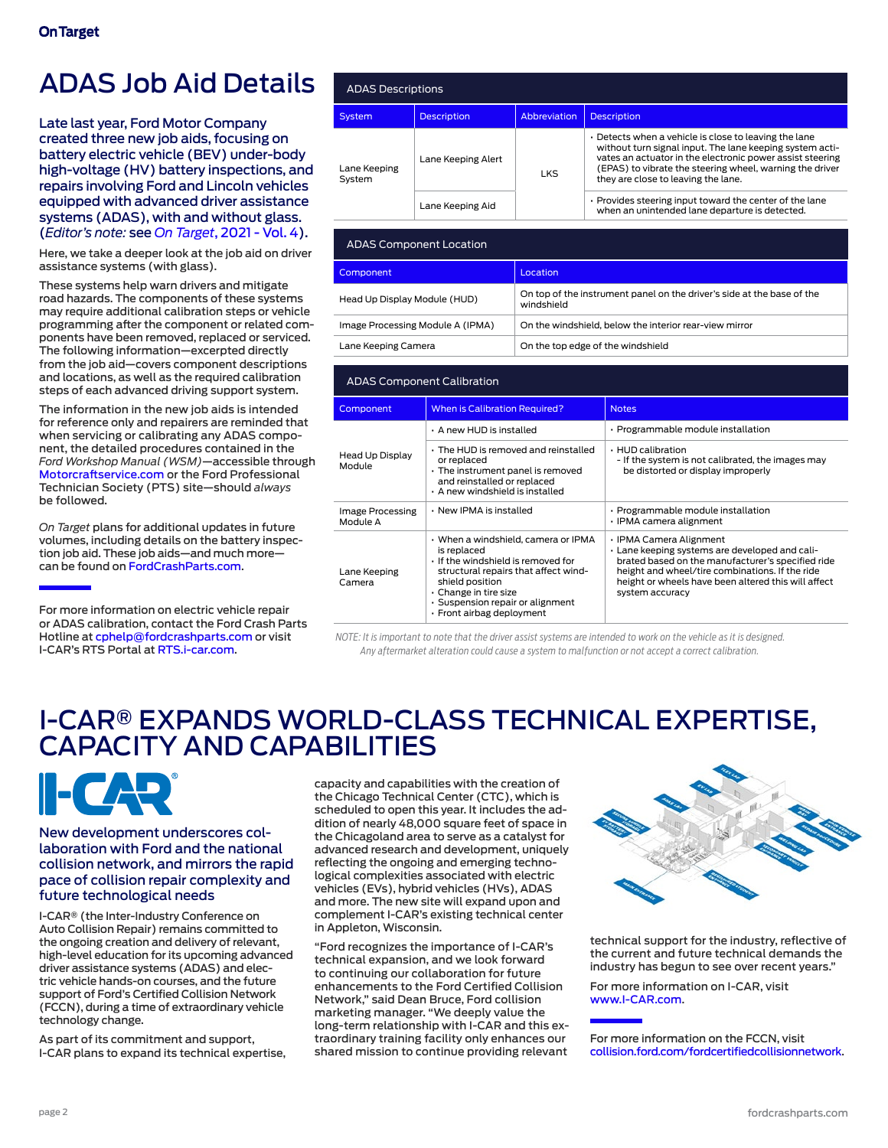# <span id="page-1-0"></span>ADAS Job Aid Details

Late last year, Ford Motor Company created three new job aids, focusing on battery electric vehicle (BEV) under-body high-voltage (HV) battery inspections, and repairs involving Ford and Lincoln vehicles equipped with advanced driver assistance systems (ADAS), with and without glass. (*Editor's note:* see *On Target*[, 2021 - Vol. 4\)](https://fordcrashparts.com/wp-content/uploads/2021/12/On-Target-2021-Vol.-4-FINAL2-12-15-21.pdf).

Here, we take a deeper look at the job aid on driver assistance systems (with glass).

These systems help warn drivers and mitigate road hazards. The components of these systems may require additional calibration steps or vehicle programming after the component or related components have been removed, replaced or serviced. The following information—excerpted directly from the job aid—covers component descriptions and locations, as well as the required calibration steps of each advanced driving support system.

The information in the new job aids is intended for reference only and repairers are reminded that when servicing or calibrating any ADAS component, the detailed procedures contained in the *Ford Workshop Manual (WSM)*—accessible through [Motorcraftservice.com](https://www.motorcraftservice.com/Home/SetCountry?returnUrl=%2F) or the Ford Professional Technician Society (PTS) site—should *always* be followed.

*On Target* plans for additional updates in future volumes, including details on the battery inspection job aid. These job aids—and much more can be found on [FordCrashParts.com](https://fordcrashparts.com/).

For more information on electric vehicle repair or ADAS calibration, contact the Ford Crash Parts Hotline at [cphelp@fordcrashparts.com](mailto:cphelp%40fordcrashparts.com?subject=) or visit I-CAR's RTS Portal at [RTS.i-car.com.](https://rts.i-car.com/)

| <b>ADAS Descriptions</b> |                    |              |                                                                                                                                                                                                                                                                                   |  |  |
|--------------------------|--------------------|--------------|-----------------------------------------------------------------------------------------------------------------------------------------------------------------------------------------------------------------------------------------------------------------------------------|--|--|
| <b>System</b>            | <b>Description</b> | Abbreviation | <b>Description</b>                                                                                                                                                                                                                                                                |  |  |
| Lane Keeping<br>System   | Lane Keeping Alert | <b>LKS</b>   | · Detects when a vehicle is close to leaving the lane<br>without turn signal input. The lane keeping system acti-<br>vates an actuator in the electronic power assist steering<br>(EPAS) to vibrate the steering wheel, warning the driver<br>they are close to leaving the lane. |  |  |
|                          | Lane Keeping Aid   |              | . Provides steering input toward the center of the lane<br>when an unintended lane departure is detected.                                                                                                                                                                         |  |  |

| <b>ADAS Component Location</b>   |                                                                                      |  |  |
|----------------------------------|--------------------------------------------------------------------------------------|--|--|
| Component                        | Location                                                                             |  |  |
| Head Up Display Module (HUD)     | On top of the instrument panel on the driver's side at the base of the<br>windshield |  |  |
| Image Processing Module A (IPMA) | On the windshield, below the interior rear-view mirror                               |  |  |
| Lane Keeping Camera              | On the top edge of the windshield                                                    |  |  |

| <b>ADAS Component Calibration</b> |                                                                                                                                                                                                                                             |                                                                                                                                                                                                                                                             |  |  |
|-----------------------------------|---------------------------------------------------------------------------------------------------------------------------------------------------------------------------------------------------------------------------------------------|-------------------------------------------------------------------------------------------------------------------------------------------------------------------------------------------------------------------------------------------------------------|--|--|
| Component                         | <b>When is Calibration Required?</b>                                                                                                                                                                                                        | <b>Notes</b>                                                                                                                                                                                                                                                |  |  |
| Head Up Display<br>Module         | · A new HUD is installed                                                                                                                                                                                                                    | · Programmable module installation                                                                                                                                                                                                                          |  |  |
|                                   | . The HUD is removed and reinstalled<br>or replaced<br>· The instrument panel is removed<br>and reinstalled or replaced<br>· A new windshield is installed                                                                                  | · HUD calibration<br>- If the system is not calibrated, the images may<br>be distorted or display improperly                                                                                                                                                |  |  |
| Image Processing<br>Module A      | · New IPMA is installed                                                                                                                                                                                                                     | · Programmable module installation<br>· IPMA camera alignment                                                                                                                                                                                               |  |  |
| Lane Keeping<br>Camera            | · When a windshield, camera or IPMA<br>is replaced<br>. If the windshield is removed for<br>structural repairs that affect wind-<br>shield position<br>Change in tire size<br>· Suspension repair or alignment<br>· Front airbag deployment | · IPMA Camera Alignment<br>· Lane keeping systems are developed and cali-<br>brated based on the manufacturer's specified ride<br>height and wheel/tire combinations. If the ride<br>height or wheels have been altered this will affect<br>system accuracy |  |  |

 *NOTE: It is important to note that the driver assist systems are intended to work on the vehicle as it is designed. Any aftermarket alteration could cause a system to malfunction or not accept a correct calibration.*

# <span id="page-1-1"></span>I-CAR® EXPANDS WORLD-CLASS TECHNICAL EXPERTISE, CAPACITY AND CAPABILITIES



#### New development underscores collaboration with Ford and the national collision network, and mirrors the rapid pace of collision repair complexity and future technological needs

I-CAR® (the Inter-Industry Conference on Auto Collision Repair) remains committed to the ongoing creation and delivery of relevant, high-level education for its upcoming advanced driver assistance systems (ADAS) and electric vehicle hands-on courses, and the future support of Ford's Certified Collision Network (FCCN), during a time of extraordinary vehicle technology change.

As part of its commitment and support, I-CAR plans to expand its technical expertise, capacity and capabilities with the creation of the Chicago Technical Center (CTC), which is scheduled to open this year. It includes the addition of nearly 48,000 square feet of space in the Chicagoland area to serve as a catalyst for advanced research and development, uniquely reflecting the ongoing and emerging technological complexities associated with electric vehicles (EVs), hybrid vehicles (HVs), ADAS and more. The new site will expand upon and complement I-CAR's existing technical center in Appleton, Wisconsin.

"Ford recognizes the importance of I-CAR's technical expansion, and we look forward to continuing our collaboration for future enhancements to the Ford Certified Collision Network," said Dean Bruce, Ford collision marketing manager. "We deeply value the long-term relationship with I-CAR and this extraordinary training facility only enhances our shared mission to continue providing relevant



technical support for the industry, reflective of the current and future technical demands the industry has begun to see over recent years."

For more information on I-CAR, visit [www.I-CAR.com](https://www.i-car.com/s/).

For more information on the FCCN, visit [collision.ford.com/fordcertifiedcollisionnetwork](https://collision.ford.com/fordcertifiedcollisionnetwork).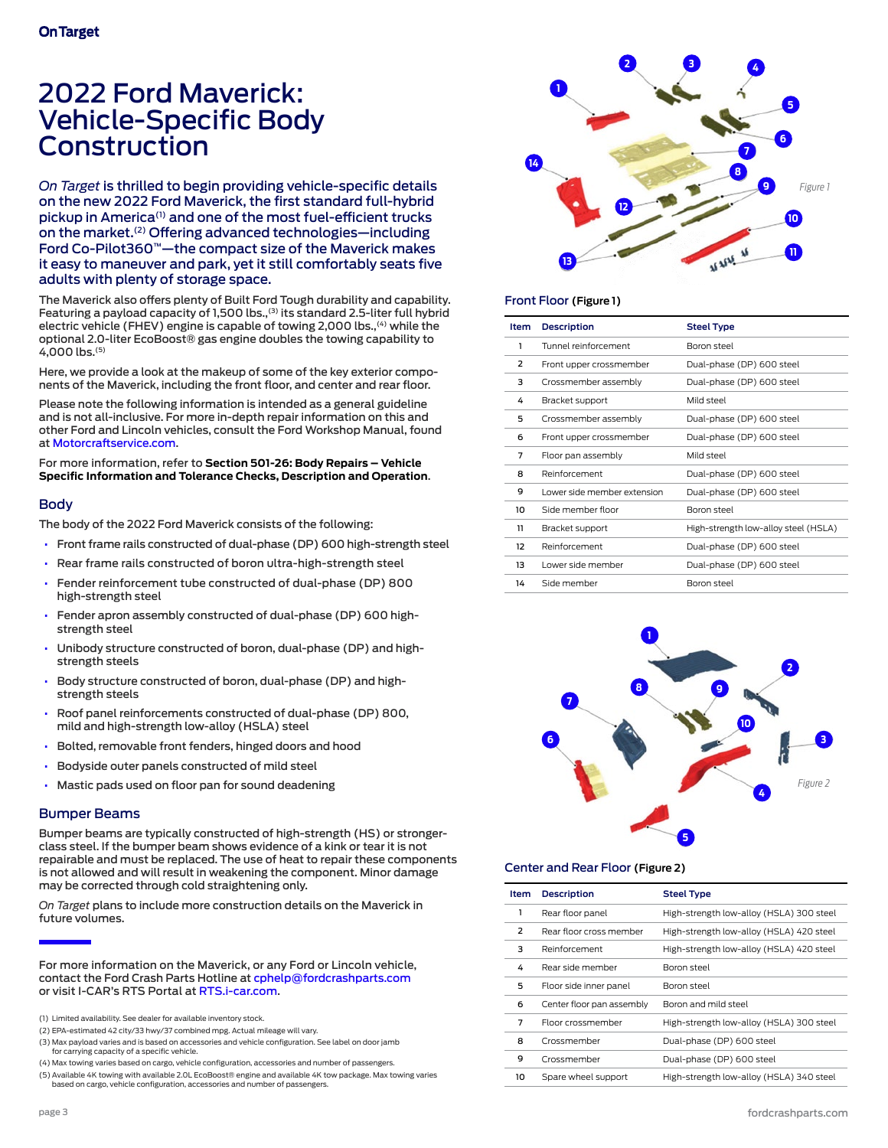# <span id="page-2-0"></span>2022 Ford Maverick: Vehicle-Specific Body Construction

*On Target* is thrilled to begin providing vehicle-specific details on the new 2022 Ford Maverick, the first standard full-hybrid pickup in America(1) and one of the most fuel-efficient trucks on the market.(2) Offering advanced technologies—including Ford Co-Pilot360™—the compact size of the Maverick makes it easy to maneuver and park, yet it still comfortably seats five adults with plenty of storage space.

The Maverick also offers plenty of Built Ford Tough durability and capability. Featuring a payload capacity of 1,500 lbs.,<sup>(3)</sup> its standard 2.5-liter full hybrid electric vehicle (FHEV) engine is capable of towing 2,000 lbs.,<sup>(4)</sup> while the optional 2.0-liter EcoBoost® gas engine doubles the towing capability to 4,000 lbs.(5)

Here, we provide a look at the makeup of some of the key exterior components of the Maverick, including the front floor, and center and rear floor.

Please note the following information is intended as a general guideline and is not all-inclusive. For more in-depth repair information on this and other Ford and Lincoln vehicles, consult the Ford Workshop Manual, found at [Motorcraftservice.com](https://www.motorcraftservice.com/Home/SetCountry?returnUrl=%2F).

For more information, refer to **Section 501-26: Body Repairs – Vehicle Specific Information and Tolerance Checks, Description and Operation**.

#### Body

The body of the 2022 Ford Maverick consists of the following:

- Front frame rails constructed of dual-phase (DP) 600 high-strength steel
- Rear frame rails constructed of boron ultra-high-strength steel
- Fender reinforcement tube constructed of dual-phase (DP) 800 high-strength steel
- Fender apron assembly constructed of dual-phase (DP) 600 highstrength steel
- Unibody structure constructed of boron, dual-phase (DP) and highstrength steels
- Body structure constructed of boron, dual-phase (DP) and highstrength steels
- Roof panel reinforcements constructed of dual-phase (DP) 800, mild and high-strength low-alloy (HSLA) steel
- Bolted, removable front fenders, hinged doors and hood
- Bodyside outer panels constructed of mild steel
- Mastic pads used on floor pan for sound deadening

#### Bumper Beams

Bumper beams are typically constructed of high-strength (HS) or strongerclass steel. If the bumper beam shows evidence of a kink or tear it is not repairable and must be replaced. The use of heat to repair these components is not allowed and will result in weakening the component. Minor damage may be corrected through cold straightening only.

*On Target* plans to include more construction details on the Maverick in future volumes.

For more information on the Maverick, or any Ford or Lincoln vehicle, contact the Ford Crash Parts Hotline at [cphelp@fordcrashparts.com](mailto:cphelp%40fordcrashparts.com?subject=) or visit I-CAR's RTS Portal at [RTS.i-car.com](https://rts.i-car.com/).

- (1) Limited availability. See dealer for available inventory stock.
- (2) EPA-estimated 42 city/33 hwy/37 combined mpg. Actual mileage will vary.
- (3) Max payload varies and is based on accessories and vehicle configuration. See label on door jamb for carrying capacity of a specific vehicle.
- (4) Max towing varies based on cargo, vehicle configuration, accessories and number of passengers.
- (5) Available 4K towing with available 2.0L EcoBoost® engine and available 4K tow package. Max towing varies based on cargo, vehicle configuration, accessories and number of passengers.



#### Front Floor **(Figure 1)**

| Item | <b>Description</b>           | <b>Steel Type</b>                    |
|------|------------------------------|--------------------------------------|
| 1    | Tunnel reinforcement         | Boron steel                          |
| 2    | Front upper crossmember      | Dual-phase (DP) 600 steel            |
| 3    | Crossmember assembly         | Dual-phase (DP) 600 steel            |
| 4    | Bracket support              | leetz bliM                           |
| 5    | Crossmember assembly         | Dual-phase (DP) 600 steel            |
| 6    | Front upper crossmember      | Dual-phase (DP) 600 steel            |
| 7    | Floor pan assembly           | leetz bliM                           |
| 8    | Reinforcement                | Dual-phase (DP) 600 steel            |
| 9    | I ower side member extension | Dual-phase (DP) 600 steel            |
| 10   | Side member floor            | Boron steel                          |
| 11   | Bracket support              | High-strength low-alloy steel (HSLA) |
| 12   | Reinforcement                | Dual-phase (DP) 600 steel            |
| 13   | Lower side member            | Dual-phase (DP) 600 steel            |
| 14   | Side member                  | Boron steel                          |



#### Center and Rear Floor **(Figure 2)**

| Item | <b>Description</b>        | <b>Steel Type</b>                        |
|------|---------------------------|------------------------------------------|
| 1    | Rear floor panel          | High-strength low-alloy (HSLA) 300 steel |
| 2    | Rear floor cross member   | High-strength low-alloy (HSLA) 420 steel |
| 3    | Reinforcement             | High-strength low-alloy (HSLA) 420 steel |
| 4    | Rear side member          | Boron steel                              |
| 5    | Floor side inner panel    | Boron steel                              |
| 6    | Center floor pan assembly | Boron and mild steel                     |
| 7    | Floor crossmember         | High-strength low-alloy (HSLA) 300 steel |
| 8    | Crossmember               | Dual-phase (DP) 600 steel                |
| 9    | Crossmember               | Dual-phase (DP) 600 steel                |
| 10   | Spare wheel support       | High-strength low-alloy (HSLA) 340 steel |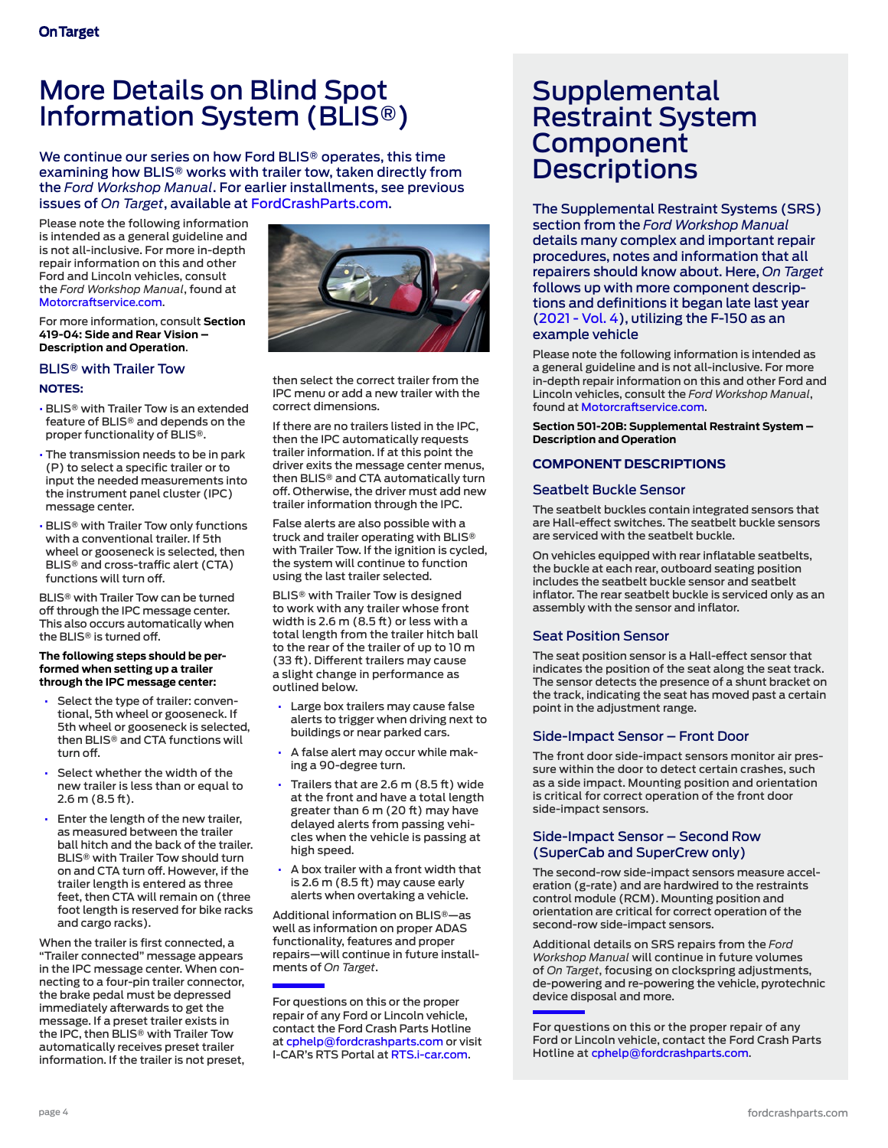# <span id="page-3-1"></span>More Details on Blind Spot Information System (BLIS®)

We continue our series on how Ford BLIS® operates, this time examining how BLIS® works with trailer tow, taken directly from the *Ford Workshop Manual*. For earlier installments, see previous issues of *On Target*, available at [FordCrashParts.com.](https://fordcrashparts.com/on-target/)

Please note the following information is intended as a general guideline and is not all-inclusive. For more in-depth repair information on this and other Ford and Lincoln vehicles, consult the *Ford Workshop Manual*, found at [Motorcraftservice.com.](http://Motorcraftservice.com)

For more information, consult **Section 419-04: Side and Rear Vision – Description and Operation**.

## BLIS® with Trailer Tow

## **NOTES:**

- BLIS® with Trailer Tow is an extended feature of BLIS® and depends on the proper functionality of BLIS®.
- The transmission needs to be in park (P) to select a specific trailer or to input the needed measurements into the instrument panel cluster (IPC) message center.
- BLIS® with Trailer Tow only functions with a conventional trailer. If 5th wheel or gooseneck is selected, then BLIS® and cross-traffic alert (CTA) functions will turn off.

BLIS® with Trailer Tow can be turned off through the IPC message center. This also occurs automatically when the BLIS® is turned off.

#### **The following steps should be performed when setting up a trailer through the IPC message center:**

- Select the type of trailer: conventional, 5th wheel or gooseneck. If 5th wheel or gooseneck is selected, then BLIS® and CTA functions will turn off.
- Select whether the width of the new trailer is less than or equal to 2.6 m (8.5 ft).
- Enter the length of the new trailer, as measured between the trailer ball hitch and the back of the trailer. BLIS® with Trailer Tow should turn on and CTA turn off. However, if the trailer length is entered as three feet, then CTA will remain on (three foot length is reserved for bike racks and cargo racks).

When the trailer is first connected, a "Trailer connected" message appears in the IPC message center. When connecting to a four-pin trailer connector, the brake pedal must be depressed immediately afterwards to get the message. If a preset trailer exists in the IPC, then BLIS® with Trailer Tow automatically receives preset trailer information. If the trailer is not preset,



then select the correct trailer from the IPC menu or add a new trailer with the correct dimensions.

If there are no trailers listed in the IPC, then the IPC automatically requests trailer information. If at this point the driver exits the message center menus, then BLIS® and CTA automatically turn off. Otherwise, the driver must add new trailer information through the IPC.

False alerts are also possible with a truck and trailer operating with BLIS® with Trailer Tow. If the ignition is cycled, the system will continue to function using the last trailer selected.

BLIS® with Trailer Tow is designed to work with any trailer whose front width is 2.6 m (8.5 ft) or less with a total length from the trailer hitch ball to the rear of the trailer of up to 10 m (33 ft). Different trailers may cause a slight change in performance as outlined below.

- Large box trailers may cause false alerts to trigger when driving next to buildings or near parked cars.
- A false alert may occur while making a 90-degree turn.
- Trailers that are 2.6 m (8.5 ft) wide at the front and have a total length greater than 6 m (20 ft) may have delayed alerts from passing vehicles when the vehicle is passing at high speed.
- A box trailer with a front width that is 2.6 m (8.5 ft) may cause early alerts when overtaking a vehicle.

Additional information on BLIS®—as well as information on proper ADAS functionality, features and proper repairs—will continue in future installments of *On Target*.

For questions on this or the proper repair of any Ford or Lincoln vehicle, contact the Ford Crash Parts Hotline at [cphelp@fordcrashparts.com](mailto:cphelp%40fordcrashparts.com?subject=) or visit I-CAR's RTS Portal at [RTS.i-car.com.](https://rts.i-car.com/)

# <span id="page-3-0"></span>**Supplemental** Restraint System Component **Descriptions**

The Supplemental Restraint Systems (SRS) section from the *Ford Workshop Manual* details many complex and important repair procedures, notes and information that all repairers should know about. Here, *On Target*  follows up with more component descriptions and definitions it began late last year ([2021 - Vol. 4\)](https://fordcrashparts.com/wp-content/uploads/2021/12/On-Target-2021-Vol.-4-FINAL2-12-15-21.pdf), utilizing the F-150 as an example vehicle

Please note the following information is intended as a general guideline and is not all-inclusive. For more in-depth repair information on this and other Ford and Lincoln vehicles, consult the *Ford Workshop Manual*, found at [Motorcraftservice.com.](https://www.motorcraftservice.com/Home/SetCountry?returnUrl=%2F)

**Section 501-20B: Supplemental Restraint System – Description and Operation**

## **COMPONENT DESCRIPTIONS**

## Seatbelt Buckle Sensor

The seatbelt buckles contain integrated sensors that are Hall-effect switches. The seatbelt buckle sensors are serviced with the seatbelt buckle.

On vehicles equipped with rear inflatable seatbelts, the buckle at each rear, outboard seating position includes the seatbelt buckle sensor and seatbelt inflator. The rear seatbelt buckle is serviced only as an assembly with the sensor and inflator.

## Seat Position Sensor

The seat position sensor is a Hall-effect sensor that indicates the position of the seat along the seat track. The sensor detects the presence of a shunt bracket on the track, indicating the seat has moved past a certain point in the adjustment range.

## Side-Impact Sensor – Front Door

The front door side-impact sensors monitor air pressure within the door to detect certain crashes, such as a side impact. Mounting position and orientation is critical for correct operation of the front door side-impact sensors.

## Side-Impact Sensor – Second Row (SuperCab and SuperCrew only)

The second-row side-impact sensors measure acceleration (g-rate) and are hardwired to the restraints control module (RCM). Mounting position and orientation are critical for correct operation of the second-row side-impact sensors.

Additional details on SRS repairs from the *Ford Workshop Manual* will continue in future volumes of *On Target*, focusing on clockspring adjustments, de-powering and re-powering the vehicle, pyrotechnic device disposal and more.

For questions on this or the proper repair of any Ford or Lincoln vehicle, contact the Ford Crash Parts Hotline at [cphelp@fordcrashparts.com](mailto:cphelp%40fordcrashparts.com?subject=).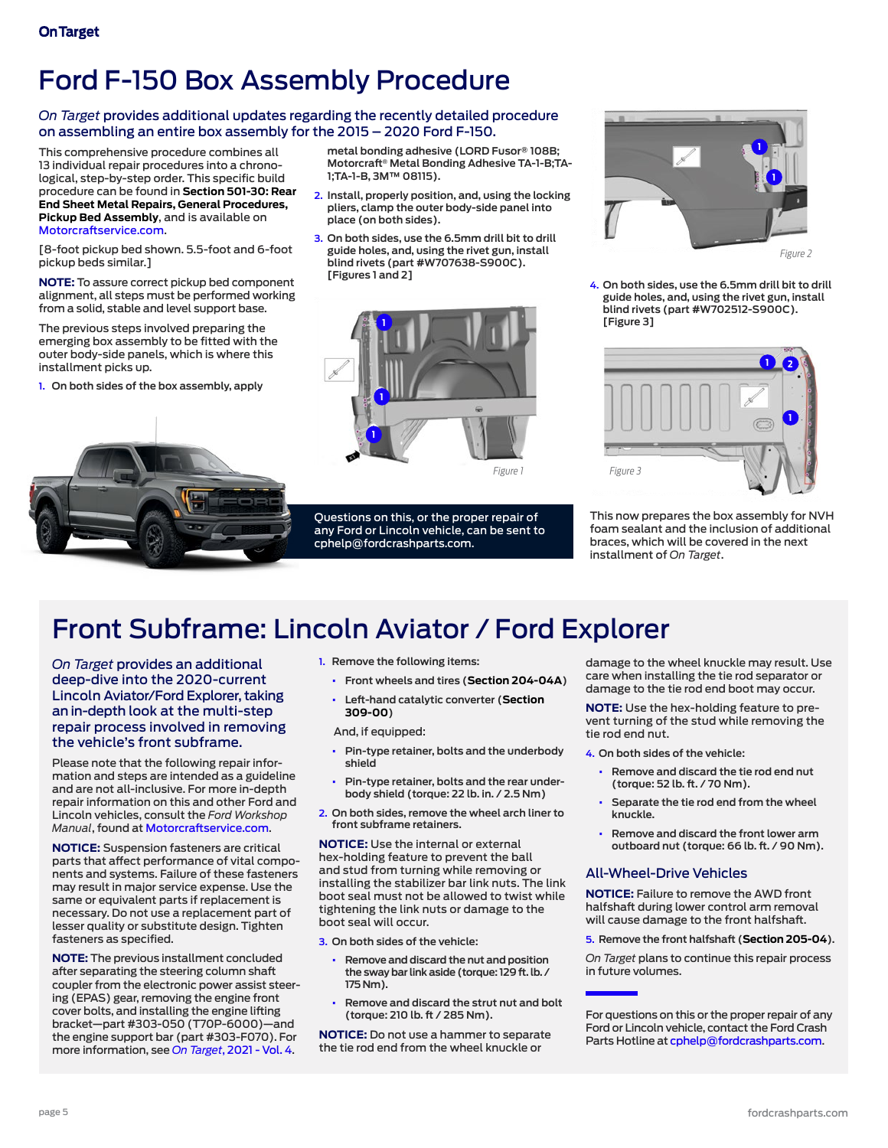# Ford F-150 Box Assembly Procedure

## *On Target* provides additional updates regarding the recently detailed procedure on assembling an entire box assembly for the 2015 – 2020 Ford F-150.

This comprehensive procedure combines all 13 individual repair procedures into a chronological, step-by-step order. This specific build procedure can be found in **Section 501-30: Rear End Sheet Metal Repairs, General Procedures, Pickup Bed Assembly**, and is available on [Motorcraftservice.com](http://Motorcraftservice.com).

[8-foot pickup bed shown. 5.5-foot and 6-foot pickup beds similar.]

**NOTE:** To assure correct pickup bed component alignment, all steps must be performed working from a solid, stable and level support base.

The previous steps involved preparing the emerging box assembly to be fitted with the outer body-side panels, which is where this installment picks up.

**1. On both sides of the box assembly, apply** 



**metal bonding adhesive (LORD Fusor® 108B; Motorcraft® Metal Bonding Adhesive TA-1-B;TA-1;TA-1-B, 3M™ 08115).**

- **2. Install, properly position, and, using the locking pliers, clamp the outer body-side panel into place (on both sides).**
- **3. On both sides, use the 6.5mm drill bit to drill guide holes, and, using the rivet gun, install blind rivets (part #W707638-S900C). [Figures 1 and 2]**



Questions on this, or the proper repair of any Ford or Lincoln vehicle, can be sent to [cphelp@fordcrashparts.com](mailto:cphelp%40fordcrashparts.com?subject=).



**4. On both sides, use the 6.5mm drill bit to drill guide holes, and, using the rivet gun, install blind rivets (part #W702512-S900C). [Figure 3]**



This now prepares the box assembly for NVH foam sealant and the inclusion of additional braces, which will be covered in the next installment of *On Target*.

# <span id="page-4-0"></span>Front Subframe: Lincoln Aviator / Ford Explorer

*On Target* provides an additional deep-dive into the 2020-current Lincoln Aviator/Ford Explorer, taking an in-depth look at the multi-step repair process involved in removing the vehicle's front subframe.

Please note that the following repair information and steps are intended as a guideline and are not all-inclusive. For more in-depth repair information on this and other Ford and Lincoln vehicles, consult the *Ford Workshop Manual*, found at [Motorcraftservice.com](https://www.motorcraftservice.com/Home/SetCountry?returnUrl=%2F).

**NOTICE:** Suspension fasteners are critical parts that affect performance of vital components and systems. Failure of these fasteners may result in major service expense. Use the same or equivalent parts if replacement is necessary. Do not use a replacement part of lesser quality or substitute design. Tighten fasteners as specified.

**NOTE:** The previous installment concluded after separating the steering column shaft coupler from the electronic power assist steering (EPAS) gear, removing the engine front cover bolts, and installing the engine lifting bracket—part #303-050 (T70P-6000)—and the engine support bar (part #303-F070). For more information, see *On Target*[, 2021 - Vol. 4](https://fordcrashparts.com/wp-content/uploads/2021/12/On-Target-2021-Vol.-4-FINAL2-12-15-21.pdf).

- **1. Remove the following items:**
	- **• Front wheels and tires (Section 204-04A)**
	- **• Left-hand catalytic converter (Section 309-00)**

And, if equipped:

- **• Pin-type retainer, bolts and the underbody shield**
- **• Pin-type retainer, bolts and the rear underbody shield (torque: 22 lb. in. / 2.5 Nm)**
- **2. On both sides, remove the wheel arch liner to front subframe retainers.**

**NOTICE:** Use the internal or external hex-holding feature to prevent the ball and stud from turning while removing or installing the stabilizer bar link nuts. The link boot seal must not be allowed to twist while tightening the link nuts or damage to the boot seal will occur.

**3. On both sides of the vehicle:** 

- **• Remove and discard the nut and position the sway bar link aside (torque: 129 ft. lb. / 175 Nm).**
- **• Remove and discard the strut nut and bolt (torque: 210 lb. ft / 285 Nm).**

**NOTICE:** Do not use a hammer to separate the tie rod end from the wheel knuckle or

damage to the wheel knuckle may result. Use care when installing the tie rod separator or damage to the tie rod end boot may occur.

**NOTE:** Use the hex-holding feature to prevent turning of the stud while removing the tie rod end nut.

- **4. On both sides of the vehicle:**
	- **• Remove and discard the tie rod end nut (torque: 52 lb. ft. / 70 Nm).**
	- **• Separate the tie rod end from the wheel knuckle.**
	- **• Remove and discard the front lower arm outboard nut (torque: 66 lb. ft. / 90 Nm).**

#### All-Wheel-Drive Vehicles

**NOTICE:** Failure to remove the AWD front halfshaft during lower control arm removal will cause damage to the front halfshaft.

#### **5. Remove the front halfshaft (Section 205-04).**

*On Target* plans to continue this repair process in future volumes.

For questions on this or the proper repair of any Ford or Lincoln vehicle, contact the Ford Crash Parts Hotline at [cphelp@fordcrashparts.com.](mailto:cphelp%40fordcrashparts.com?subject=)